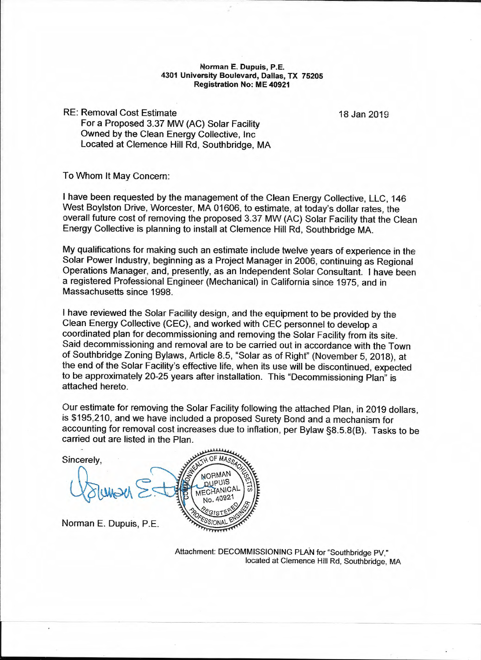## **Norman** E. **Dupuis, P.E. 4301 University Boulevard, Dallas, TX 75205 Registration No: ME 40921**

RE: Removal Cost Estimate For a Proposed 3.37 MW (AC) Solar Facility Owned by the Clean Energy Collective, Inc Located at Clemence Hill Rd, Southbridge, MA

18 Jan 2019

To Whom It May Concern:

I have been requested by the management of the Clean Energy Collective, LLC, 146 West Boylston Drive, Worcester, MA 01606, to estimate, at today's dollar rates, the overall future cost of removing the proposed 3.37 MW (AC) Solar Facility that the Clean Energy Collective is planning to install at Clemence Hill Rd, Southbridge MA.

My qualifications for making such an estimate include twelve years of experience in the Solar Power Industry, beginning as a Project Manager in 2006, continuing as Regional Operations Manager, and, presently, as an Independent Solar Consultant. I have been a registered Professional Engineer (Mechanical) in California since 1975, and in Massachusetts since 1998.

I have reviewed the Solar Facility design, and the equipment to be provided by the Clean Energy Collective (CEC), and worked with CEC personnel to develop a coordinated plan for decommissioning and removing the Solar Facility from its site. Said decommissioning and removal are to be carried out in accordance with the Town of Southbridge Zoning Bylaws, Article 8.5, "Solar as of Right" (November 5, 2018), at the end of the Solar Facility's effective life, when its use will be discontinued, expected to be approximately 20-25 years after installation. This "Decommissioning Plan" is attached hereto.

Our estimate for removing the Solar Facility following the attached Plan, in 2019 dollars, is \$195,210, and we have included a proposed Surety Bond and a mechanism for accounting for removal cost increases due to inflation, per Bylaw §8.5.8(8). Tasks to be carried out are listed in the Plan.

Sincerely, MAMAN **QUPUIS** MECHANICAL Norman E. Dupuis, P.E.

Attachment: DECOMMISSIONING PLAN for "Southbridge PV," located at Clemence Hill Rd, Southbridge, MA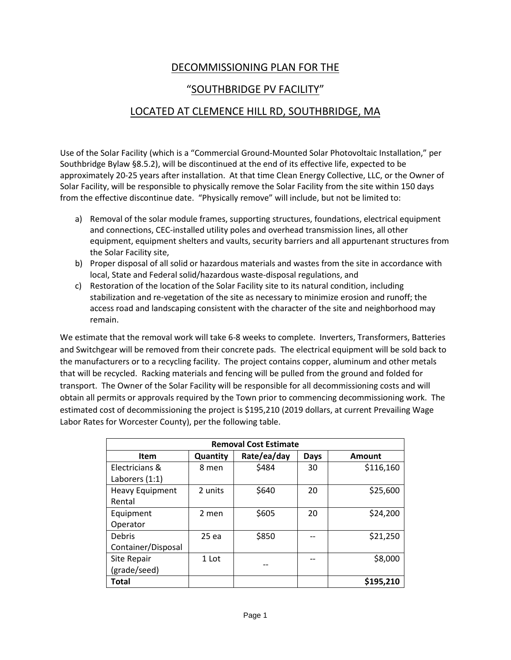## DECOMMISSIONING PLAN FOR THE

## "SOUTHBRIDGE PV FACILITY"

## LOCATED AT CLEMENCE HILL RD, SOUTHBRIDGE, MA

Use of the Solar Facility (which is a "Commercial Ground-Mounted Solar Photovoltaic Installation," per Southbridge Bylaw §8.5.2), will be discontinued at the end of its effective life, expected to be approximately 20-25 years after installation. At that time Clean Energy Collective, LLC, or the Owner of Solar Facility, will be responsible to physically remove the Solar Facility from the site within 150 days from the effective discontinue date. "Physically remove" will include, but not be limited to:

- a) Removal of the solar module frames, supporting structures, foundations, electrical equipment and connections, CEC-installed utility poles and overhead transmission lines, all other equipment, equipment shelters and vaults, security barriers and all appurtenant structures from the Solar Facility site,
- b) Proper disposal of all solid or hazardous materials and wastes from the site in accordance with local, State and Federal solid/hazardous waste-disposal regulations, and
- c) Restoration of the location of the Solar Facility site to its natural condition, including stabilization and re-vegetation of the site as necessary to minimize erosion and runoff; the access road and landscaping consistent with the character of the site and neighborhood may remain.

We estimate that the removal work will take 6-8 weeks to complete. Inverters, Transformers, Batteries and Switchgear will be removed from their concrete pads. The electrical equipment will be sold back to the manufacturers or to a recycling facility. The project contains copper, aluminum and other metals that will be recycled. Racking materials and fencing will be pulled from the ground and folded for transport. The Owner of the Solar Facility will be responsible for all decommissioning costs and will obtain all permits or approvals required by the Town prior to commencing decommissioning work. The estimated cost of decommissioning the project is \$195,210 (2019 dollars, at current Prevailing Wage Labor Rates for Worcester County), per the following table.

| <b>Removal Cost Estimate</b> |          |             |             |           |
|------------------------------|----------|-------------|-------------|-----------|
| <b>Item</b>                  | Quantity | Rate/ea/day | <b>Days</b> | Amount    |
| Electricians &               | 8 men    | \$484       | 30          | \$116,160 |
| Laborers (1:1)               |          |             |             |           |
| <b>Heavy Equipment</b>       | 2 units  | \$640       | 20          | \$25,600  |
| Rental                       |          |             |             |           |
| Equipment                    | 2 men    | \$605       | 20          | \$24,200  |
| Operator                     |          |             |             |           |
| Debris                       | 25 ea    | \$850       |             | \$21,250  |
| Container/Disposal           |          |             |             |           |
| Site Repair                  | 1 Lot    |             |             | \$8,000   |
| (grade/seed)                 |          |             |             |           |
| Total                        |          |             |             | \$195,210 |